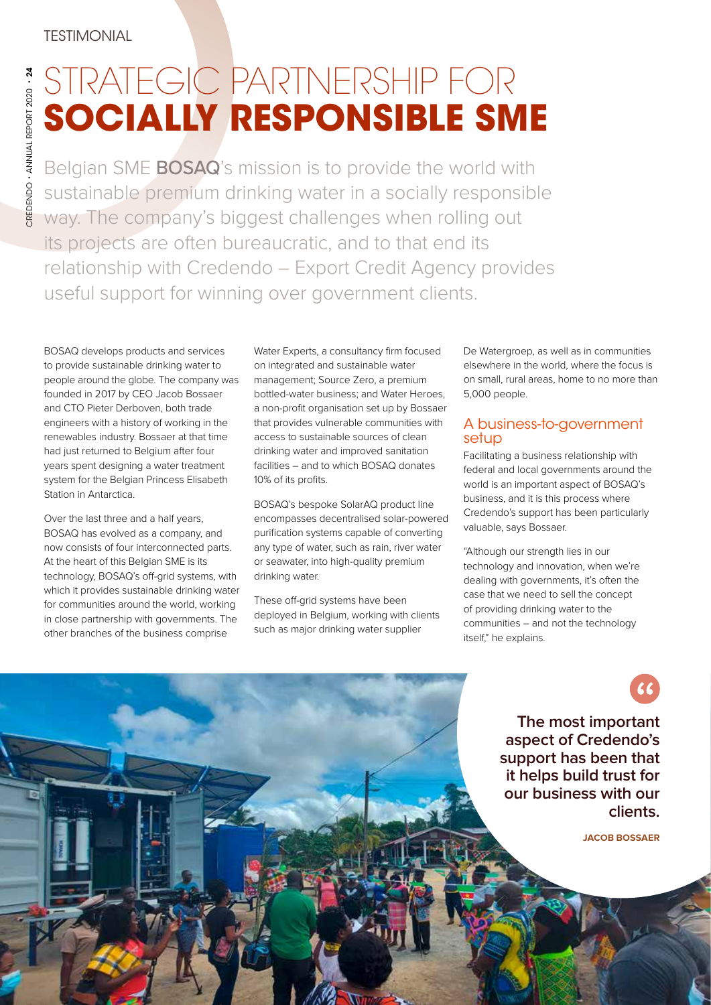# STRATEGIC PARTNERSHIP FOR **SOCIALLY RESPONSIBLE SME**

Belgian SME **BOSAQ**'s mission is to provide the world with sustainable premium drinking water in a socially responsible way. The company's biggest challenges when rolling out its projects are often bureaucratic, and to that end its relationship with Credendo – Export Credit Agency provides useful support for winning over government clients.

BOSAQ develops products and services to provide sustainable drinking water to people around the globe. The company was founded in 2017 by CEO Jacob Bossaer and CTO Pieter Derboven, both trade engineers with a history of working in the renewables industry. Bossaer at that time had just returned to Belgium after four years spent designing a water treatment system for the Belgian Princess Elisabeth Station in Antarctica.

Over the last three and a half years, BOSAQ has evolved as a company, and now consists of four interconnected parts. At the heart of this Belgian SME is its technology, BOSAQ's off-grid systems, with which it provides sustainable drinking water for communities around the world, working in close partnership with governments. The other branches of the business comprise

Water Experts, a consultancy firm focused on integrated and sustainable water management; Source Zero, a premium bottled-water business; and Water Heroes, a non-profit organisation set up by Bossaer that provides vulnerable communities with access to sustainable sources of clean drinking water and improved sanitation facilities – and to which BOSAQ donates 10% of its profits.

BOSAQ's bespoke SolarAQ product line encompasses decentralised solar-powered purification systems capable of converting any type of water, such as rain, river water or seawater, into high-quality premium drinking water.

These off-grid systems have been deployed in Belgium, working with clients such as major drinking water supplier

De Watergroep, as well as in communities elsewhere in the world, where the focus is on small, rural areas, home to no more than 5,000 people.

### A business-to-government setup

Facilitating a business relationship with federal and local governments around the world is an important aspect of BOSAQ's business, and it is this process where Credendo's support has been particularly valuable, says Bossaer.

"Although our strength lies in our technology and innovation, when we're dealing with governments, it's often the case that we need to sell the concept of providing drinking water to the communities – and not the technology itself," he explains.

> **The most important aspect of Credendo's support has been that it helps build trust for our business with our clients.**

> > **JACOB BOSSAER**